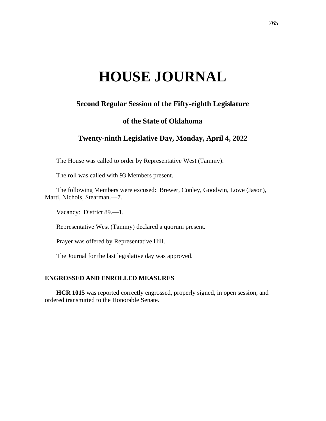# **HOUSE JOURNAL**

## **Second Regular Session of the Fifty-eighth Legislature**

## **of the State of Oklahoma**

## **Twenty-ninth Legislative Day, Monday, April 4, 2022**

The House was called to order by Representative West (Tammy).

The roll was called with 93 Members present.

The following Members were excused: Brewer, Conley, Goodwin, Lowe (Jason), Marti, Nichols, Stearman.—7.

Vacancy: District 89.—1.

Representative West (Tammy) declared a quorum present.

Prayer was offered by Representative Hill.

The Journal for the last legislative day was approved.

### **ENGROSSED AND ENROLLED MEASURES**

**HCR 1015** was reported correctly engrossed, properly signed, in open session, and ordered transmitted to the Honorable Senate.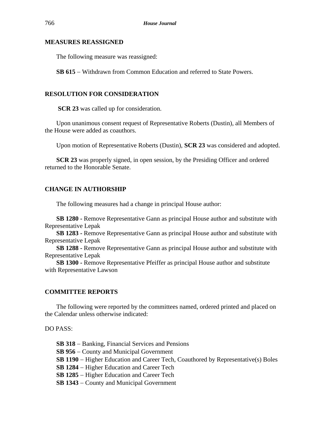#### **MEASURES REASSIGNED**

The following measure was reassigned:

**SB 615** − Withdrawn from Common Education and referred to State Powers.

#### **RESOLUTION FOR CONSIDERATION**

**SCR 23** was called up for consideration.

Upon unanimous consent request of Representative Roberts (Dustin), all Members of the House were added as coauthors.

Upon motion of Representative Roberts (Dustin), **SCR 23** was considered and adopted.

**SCR 23** was properly signed, in open session, by the Presiding Officer and ordered returned to the Honorable Senate.

#### **CHANGE IN AUTHORSHIP**

The following measures had a change in principal House author:

**SB 1280 -** Remove Representative Gann as principal House author and substitute with Representative Lepak

**SB 1283 -** Remove Representative Gann as principal House author and substitute with Representative Lepak

**SB 1288 -** Remove Representative Gann as principal House author and substitute with Representative Lepak

**SB 1300 -** Remove Representative Pfeiffer as principal House author and substitute with Representative Lawson

#### **COMMITTEE REPORTS**

The following were reported by the committees named, ordered printed and placed on the Calendar unless otherwise indicated:

DO PASS:

**SB 318** − Banking, Financial Services and Pensions

**SB 956** − County and Municipal Government

**SB 1190** − Higher Education and Career Tech, Coauthored by Representative(s) Boles

**SB 1284** − Higher Education and Career Tech

**SB 1285** − Higher Education and Career Tech

**SB 1343** − County and Municipal Government